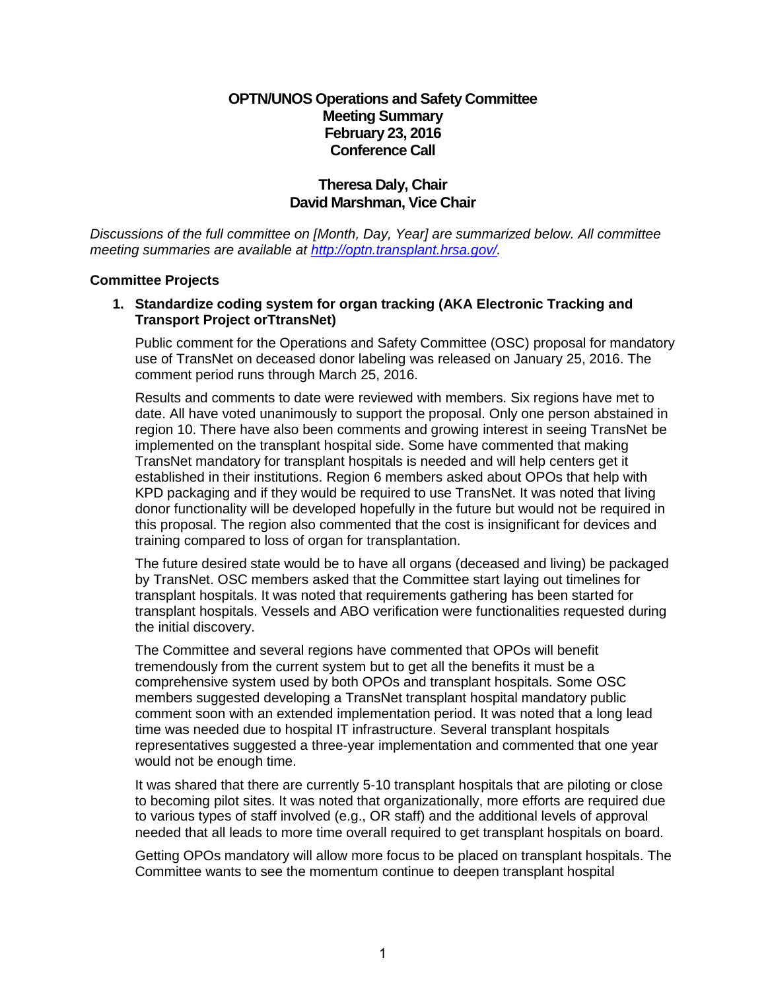# **OPTN/UNOS Operations and Safety Committee Meeting Summary February 23, 2016 Conference Call**

# **Theresa Daly, Chair David Marshman, Vice Chair**

*Discussions of the full committee on [Month, Day, Year] are summarized below. All committee meeting summaries are available at [http://optn.transplant.hrsa.gov/.](http://optn.transplant.hrsa.gov/)* 

### **Committee Projects**

## **1. Standardize coding system for organ tracking (AKA Electronic Tracking and Transport Project orTtransNet)**

Public comment for the Operations and Safety Committee (OSC) proposal for mandatory use of TransNet on deceased donor labeling was released on January 25, 2016. The comment period runs through March 25, 2016.

Results and comments to date were reviewed with members. Six regions have met to date. All have voted unanimously to support the proposal. Only one person abstained in region 10. There have also been comments and growing interest in seeing TransNet be implemented on the transplant hospital side. Some have commented that making TransNet mandatory for transplant hospitals is needed and will help centers get it established in their institutions. Region 6 members asked about OPOs that help with KPD packaging and if they would be required to use TransNet. It was noted that living donor functionality will be developed hopefully in the future but would not be required in this proposal. The region also commented that the cost is insignificant for devices and training compared to loss of organ for transplantation.

The future desired state would be to have all organs (deceased and living) be packaged by TransNet. OSC members asked that the Committee start laying out timelines for transplant hospitals. It was noted that requirements gathering has been started for transplant hospitals. Vessels and ABO verification were functionalities requested during the initial discovery.

The Committee and several regions have commented that OPOs will benefit tremendously from the current system but to get all the benefits it must be a comprehensive system used by both OPOs and transplant hospitals. Some OSC members suggested developing a TransNet transplant hospital mandatory public comment soon with an extended implementation period. It was noted that a long lead time was needed due to hospital IT infrastructure. Several transplant hospitals representatives suggested a three-year implementation and commented that one year would not be enough time.

It was shared that there are currently 5-10 transplant hospitals that are piloting or close to becoming pilot sites. It was noted that organizationally, more efforts are required due to various types of staff involved (e.g., OR staff) and the additional levels of approval needed that all leads to more time overall required to get transplant hospitals on board.

Getting OPOs mandatory will allow more focus to be placed on transplant hospitals. The Committee wants to see the momentum continue to deepen transplant hospital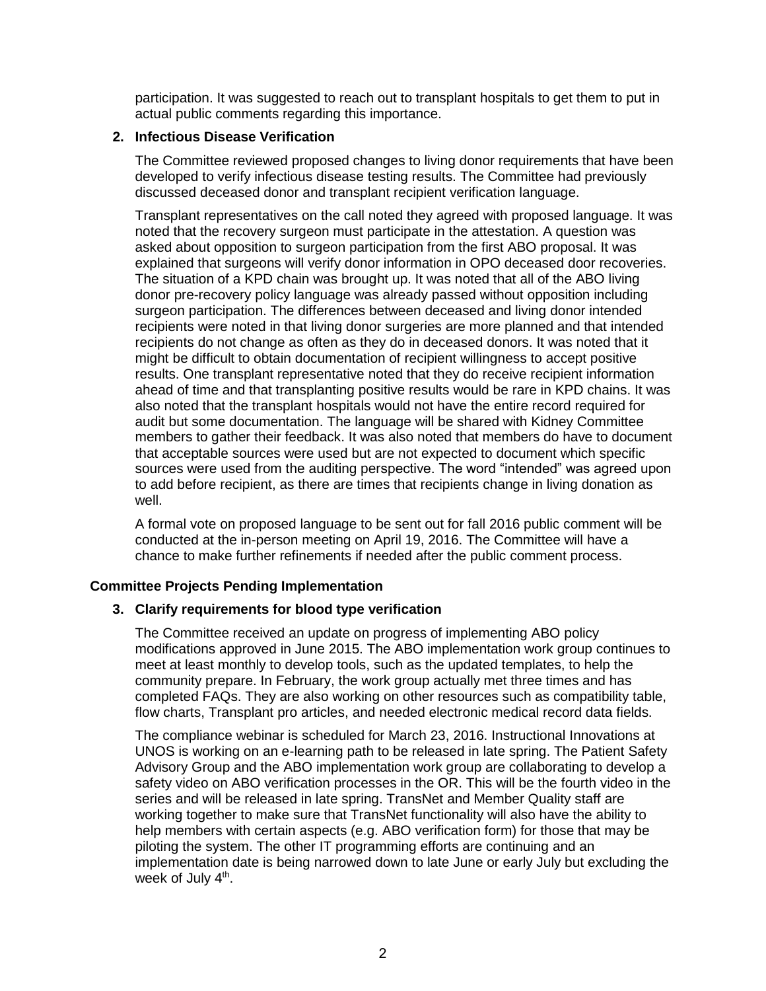participation. It was suggested to reach out to transplant hospitals to get them to put in actual public comments regarding this importance.

### **2. Infectious Disease Verification**

The Committee reviewed proposed changes to living donor requirements that have been developed to verify infectious disease testing results. The Committee had previously discussed deceased donor and transplant recipient verification language.

Transplant representatives on the call noted they agreed with proposed language. It was noted that the recovery surgeon must participate in the attestation. A question was asked about opposition to surgeon participation from the first ABO proposal. It was explained that surgeons will verify donor information in OPO deceased door recoveries. The situation of a KPD chain was brought up. It was noted that all of the ABO living donor pre-recovery policy language was already passed without opposition including surgeon participation. The differences between deceased and living donor intended recipients were noted in that living donor surgeries are more planned and that intended recipients do not change as often as they do in deceased donors. It was noted that it might be difficult to obtain documentation of recipient willingness to accept positive results. One transplant representative noted that they do receive recipient information ahead of time and that transplanting positive results would be rare in KPD chains. It was also noted that the transplant hospitals would not have the entire record required for audit but some documentation. The language will be shared with Kidney Committee members to gather their feedback. It was also noted that members do have to document that acceptable sources were used but are not expected to document which specific sources were used from the auditing perspective. The word "intended" was agreed upon to add before recipient, as there are times that recipients change in living donation as well.

A formal vote on proposed language to be sent out for fall 2016 public comment will be conducted at the in-person meeting on April 19, 2016. The Committee will have a chance to make further refinements if needed after the public comment process.

#### **Committee Projects Pending Implementation**

#### **3. Clarify requirements for blood type verification**

The Committee received an update on progress of implementing ABO policy modifications approved in June 2015. The ABO implementation work group continues to meet at least monthly to develop tools, such as the updated templates, to help the community prepare. In February, the work group actually met three times and has completed FAQs. They are also working on other resources such as compatibility table, flow charts, Transplant pro articles, and needed electronic medical record data fields.

The compliance webinar is scheduled for March 23, 2016. Instructional Innovations at UNOS is working on an e-learning path to be released in late spring. The Patient Safety Advisory Group and the ABO implementation work group are collaborating to develop a safety video on ABO verification processes in the OR. This will be the fourth video in the series and will be released in late spring. TransNet and Member Quality staff are working together to make sure that TransNet functionality will also have the ability to help members with certain aspects (e.g. ABO verification form) for those that may be piloting the system. The other IT programming efforts are continuing and an implementation date is being narrowed down to late June or early July but excluding the week of July 4<sup>th</sup>.